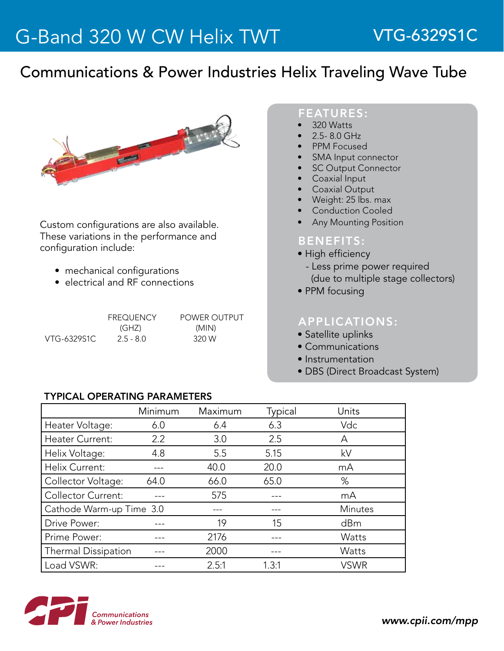# Communications & Power Industries Helix Traveling Wave Tube



Custom configurations are also available. These variations in the performance and configuration include:

- mechanical configurations
- electrical and RF connections

|             | <b>FREQUENCY</b> | POWER OUTPUT |
|-------------|------------------|--------------|
|             | (GHZ)            | (MIN)        |
| VTG-6329S1C | $2.5 - 8.0$      | 320 W        |

### FEATURES:

- 320 Watts
- 2.5-8.0 GHz
- **PPM Focused**
- SMA Input connector
- **SC Output Connector**
- **Coaxial Input**
- **Coaxial Output**
- Weight: 25 lbs. max
- Conduction Cooled
- **Any Mounting Position**

### BENEFITS:

- High efficiency
- Less prime power required (due to multiple stage collectors)
- PPM focusing

## APPLICATIONS:

- Satellite uplinks
- Communications
- Instrumentation
- DBS (Direct Broadcast System)

#### TyPICAL OPERATING PARAMETERS

|                           | Minimum          | Maximum | Typical | Units          |
|---------------------------|------------------|---------|---------|----------------|
| Heater Voltage:           | 6.0              | 6.4     | 6.3     | Vdc            |
| Heater Current:           | $2.2\phantom{0}$ | 3.0     | 2.5     | A              |
| Helix Voltage:            | 4.8              | 5.5     | 5.15    | kV             |
| Helix Current:            |                  | 40.0    | 20.0    | mA             |
| Collector Voltage:        | 64.0             | 66.0    | 65.0    | %              |
| <b>Collector Current:</b> |                  | 575     |         | mA             |
| Cathode Warm-up Time 3.0  |                  | ---     |         | <b>Minutes</b> |
| Drive Power:              |                  | 19      | 15      | dBm            |
| Prime Power:              |                  | 2176    |         | Watts          |
| Thermal Dissipation       |                  | 2000    |         | Watts          |
| Load VSWR:                |                  | 2.5:1   | 1.3:1   | <b>VSWR</b>    |